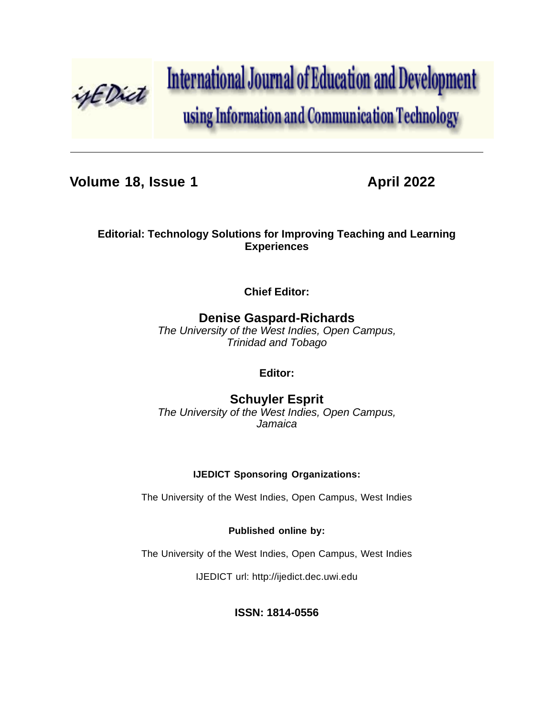

**International Journal of Education and Development** 

using Information and Communication Technology

**Volume 18, Issue 1 April 2022** 

## **Editorial: Technology Solutions for Improving Teaching and Learning Experiences**

**Chief Editor:**

# **Denise Gaspard-Richards**

*The University of the West Indies, Open Campus, Trinidad and Tobago*

**Editor:**

**Schuyler Esprit** *The University of the West Indies, Open Campus, Jamaica*

### **IJEDICT Sponsoring Organizations:**

The University of the West Indies, Open Campus, West Indies

### **Published online by:**

The University of the West Indies, Open Campus, West Indies

IJEDICT url: [http://ijedict.dec.uwi.edu](http://ijedict.dec.uwi.edu/)

### **ISSN: 1814-0556**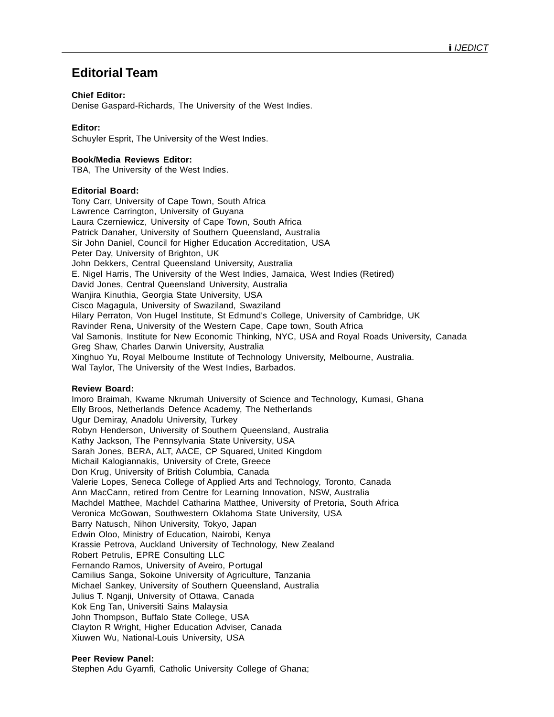## **Editorial Team**

#### **Chief Editor:**

Denise Gaspard-Richards, The University of the West Indies.

#### **Editor:**

Schuyler Esprit, The University of the West Indies.

#### **Book/Media Reviews Editor:**

TBA, The University of the West Indies.

#### **Editorial Board:**

Tony Carr, University of Cape Town, South Africa Lawrence Carrington, University of Guyana Laura Czerniewicz, University of Cape Town, South Africa Patrick Danaher, University of Southern Queensland, Australia Sir John Daniel, Council for Higher Education Accreditation, USA Peter Day, University of Brighton, UK John Dekkers, Central Queensland University, Australia E. Nigel Harris, The University of the West Indies, Jamaica, West Indies (Retired) David Jones, Central Queensland University, Australia Wanjira Kinuthia, Georgia State University, USA Cisco Magagula, University of Swaziland, Swaziland Hilary Perraton, Von Hugel Institute, St Edmund's College, University of Cambridge, UK Ravinder Rena, University of the Western Cape, Cape town, South Africa Val Samonis, Institute for New Economic Thinking, NYC, USA and Royal Roads University, Canada Greg Shaw, Charles Darwin University, Australia Xinghuo Yu, Royal Melbourne Institute of Technology University, Melbourne, Australia. Wal Taylor, The University of the West Indies, Barbados.

#### **Review Board:**

Imoro Braimah, Kwame Nkrumah University of Science and Technology, Kumasi, Ghana Elly Broos, Netherlands Defence Academy, The Netherlands Ugur Demiray, Anadolu University, Turkey Robyn Henderson, University of Southern Queensland, Australia Kathy Jackson, The Pennsylvania State University, USA Sarah Jones, BERA, ALT, AACE, CP Squared, United Kingdom Michail Kalogiannakis, University of Crete, Greece Don Krug, University of British Columbia, Canada Valerie Lopes, Seneca College of Applied Arts and Technology, Toronto, Canada Ann MacCann, retired from Centre for Learning Innovation, NSW, Australia Machdel Matthee, Machdel Catharina Matthee, University of Pretoria, South Africa Veronica McGowan, Southwestern Oklahoma State University, USA Barry Natusch, Nihon University, Tokyo, Japan Edwin Oloo, Ministry of Education, Nairobi, Kenya Krassie Petrova, Auckland University of Technology, New Zealand Robert Petrulis, EPRE Consulting LLC Fernando Ramos, University of Aveiro, Portugal Camilius Sanga, Sokoine University of Agriculture, Tanzania Michael Sankey, University of Southern Queensland, Australia Julius T. Nganji, University of Ottawa, Canada Kok Eng Tan, Universiti Sains Malaysia John Thompson, Buffalo State College, USA Clayton R Wright, Higher Education Adviser, Canada Xiuwen Wu, National-Louis University, USA

#### **Peer Review Panel:**

Stephen Adu Gyamfi, Catholic University College of Ghana;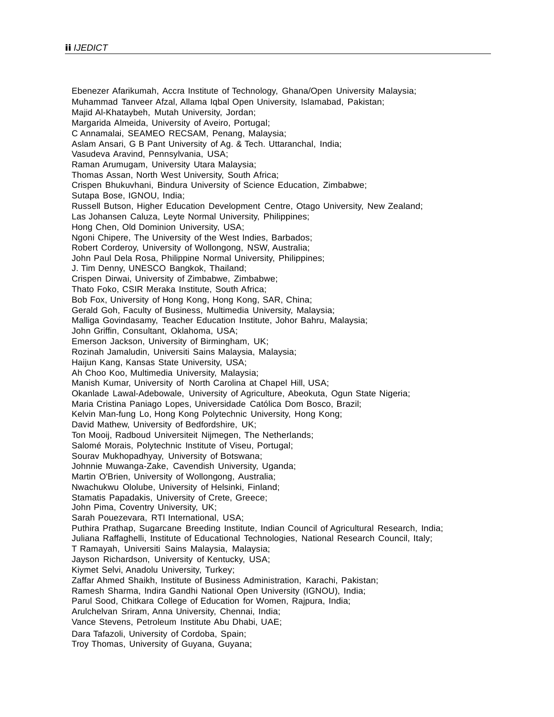Ebenezer Afarikumah, Accra Institute of Technology, Ghana/Open University Malaysia; Muhammad Tanveer Afzal, Allama Iqbal Open University, Islamabad, Pakistan; Majid Al-Khataybeh, Mutah University, Jordan; Margarida Almeida, University of Aveiro, Portugal; C Annamalai, SEAMEO RECSAM, Penang, Malaysia; Aslam Ansari, G B Pant University of Ag. & Tech. Uttaranchal, India; Vasudeva Aravind, Pennsylvania, USA; Raman Arumugam, University Utara Malaysia; Thomas Assan, North West University, South Africa; Crispen Bhukuvhani, Bindura University of Science Education, Zimbabwe; Sutapa Bose, IGNOU, India; Russell Butson, Higher Education Development Centre, Otago University, New Zealand; Las Johansen Caluza, Leyte Normal University, Philippines; Hong Chen, Old Dominion University, USA; Ngoni Chipere, The University of the West Indies, Barbados; Robert Corderoy, University of Wollongong, NSW, Australia; John Paul Dela Rosa, Philippine Normal University, Philippines; J. Tim Denny, UNESCO Bangkok, Thailand; Crispen Dirwai, University of Zimbabwe, Zimbabwe; Thato Foko, CSIR Meraka Institute, South Africa; Bob Fox, University of Hong Kong, Hong Kong, SAR, China; Gerald Goh, Faculty of Business, Multimedia University, Malaysia; Malliga Govindasamy, Teacher Education Institute, Johor Bahru, Malaysia; John Griffin, Consultant, Oklahoma, USA; Emerson Jackson, University of Birmingham, UK; Rozinah Jamaludin, Universiti Sains Malaysia, Malaysia; Haijun Kang, Kansas State University, USA; Ah Choo Koo, Multimedia University, Malaysia; Manish Kumar, University of North Carolina at Chapel Hill, USA; Okanlade Lawal-Adebowale, University of Agriculture, Abeokuta, Ogun State Nigeria; Maria Cristina Paniago Lopes, Universidade Católica Dom Bosco, Brazil; Kelvin Man-fung Lo, Hong Kong Polytechnic University, Hong Kong; David Mathew, University of Bedfordshire, UK; Ton Mooij, Radboud Universiteit Nijmegen, The Netherlands; Salomé Morais, Polytechnic Institute of Viseu, Portugal; Sourav Mukhopadhyay, University of Botswana; Johnnie Muwanga-Zake, Cavendish University, Uganda; Martin O'Brien, University of Wollongong, Australia; Nwachukwu Ololube, University of Helsinki, Finland; Stamatis Papadakis, University of Crete, Greece; John Pima, Coventry University, UK; Sarah Pouezevara, RTI International, USA; Puthira Prathap, Sugarcane Breeding Institute, Indian Council of Agricultural Research, India; Juliana Raffaghelli, Institute of Educational Technologies, National Research Council, Italy; T Ramayah, Universiti Sains Malaysia, Malaysia; Jayson Richardson, University of Kentucky, USA; Kiymet Selvi, Anadolu University, Turkey; Zaffar Ahmed Shaikh, Institute of Business Administration, Karachi, Pakistan; Ramesh Sharma, Indira Gandhi National Open University (IGNOU), India; Parul Sood, Chitkara College of Education for Women, Rajpura, India; Arulchelvan Sriram, Anna University, Chennai, India; Vance Stevens, Petroleum Institute Abu Dhabi, UAE; Dara Tafazoli, University of Cordoba, Spain; Troy Thomas, University of Guyana, Guyana;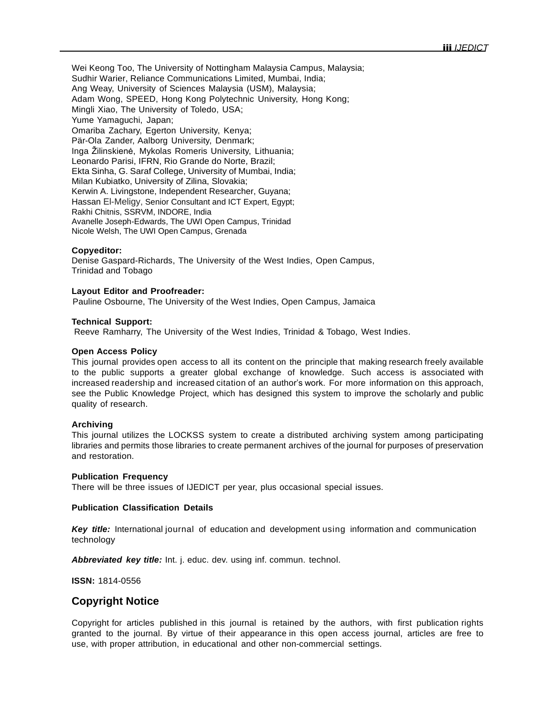Wei Keong Too, The University of Nottingham Malaysia Campus, Malaysia; Sudhir Warier, Reliance Communications Limited, Mumbai, India; Ang Weay, University of Sciences Malaysia (USM), Malaysia; Adam Wong, SPEED, Hong Kong Polytechnic University, Hong Kong; Mingli Xiao, The University of Toledo, USA; Yume Yamaguchi, Japan; Omariba Zachary, Egerton University, Kenya; Pär-Ola Zander, Aalborg University, Denmark; Inga Žilinskienė, Mykolas Romeris University, Lithuania; Leonardo Parisi, IFRN, Rio Grande do Norte, Brazil; Ekta Sinha, G. Saraf College, University of Mumbai, India; Milan Kubiatko, University of Zilina, Slovakia; Kerwin A. Livingstone, Independent Researcher, Guyana; Hassan El-Meligy, Senior Consultant and ICT Expert, Egypt; Rakhi Chitnis, SSRVM, INDORE, India Avanelle Joseph-Edwards, The UWI Open Campus, Trinidad Nicole Welsh, The UWI Open Campus, Grenada

#### **Copyeditor:**

Denise Gaspard-Richards, The University of the West Indies, Open Campus, Trinidad and Tobago

#### **Layout Editor and Proofreader:**

Pauline Osbourne, The University of the West Indies, Open Campus, Jamaica

#### **Technical Support:**

Reeve Ramharry, The University of the West Indies, Trinidad & Tobago, West Indies.

#### **Open Access Policy**

This journal provides open access to all its content on the principle that making research freely available to the public supports a greater global exchange of knowledge. Such access is associated with increased readership and increased citation of an author's work. For more information on this approach, see the Public Knowledge Project, which has designed this system to improve the scholarly and public quality of research.

#### **Archiving**

This journal utilizes the LOCKSS system to create a distributed archiving system among participating libraries and permits those libraries to create permanent archives of the journal for purposes of preservation and restoration.

#### **Publication Frequency**

There will be three issues of IJEDICT per year, plus occasional special issues.

#### **Publication Classification Details**

*Key title:* International journal of education and development using information and communication technology

*Abbreviated key title:* Int. j. educ. dev. using inf. commun. technol.

**ISSN:** 1814-0556

### **Copyright Notice**

Copyright for articles published in this journal is retained by the authors, with first publication rights granted to the journal. By virtue of their appearance in this open access journal, articles are free to use, with proper attribution, in educational and other non-commercial settings.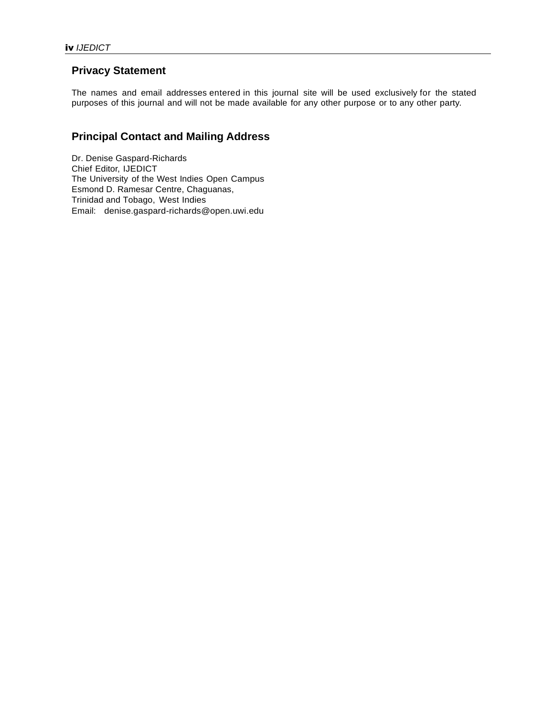### **Privacy Statement**

The names and email addresses entered in this journal site will be used exclusively for the stated purposes of this journal and will not be made available for any other purpose or to any other party.

## **Principal Contact and Mailing Address**

Dr. Denise Gaspard-Richards Chief Editor, IJEDICT The University of the West Indies Open Campus Esmond D. Ramesar Centre, Chaguanas, Trinidad and Tobago, West Indies Email: denise.gaspard-richards@open.uwi.edu